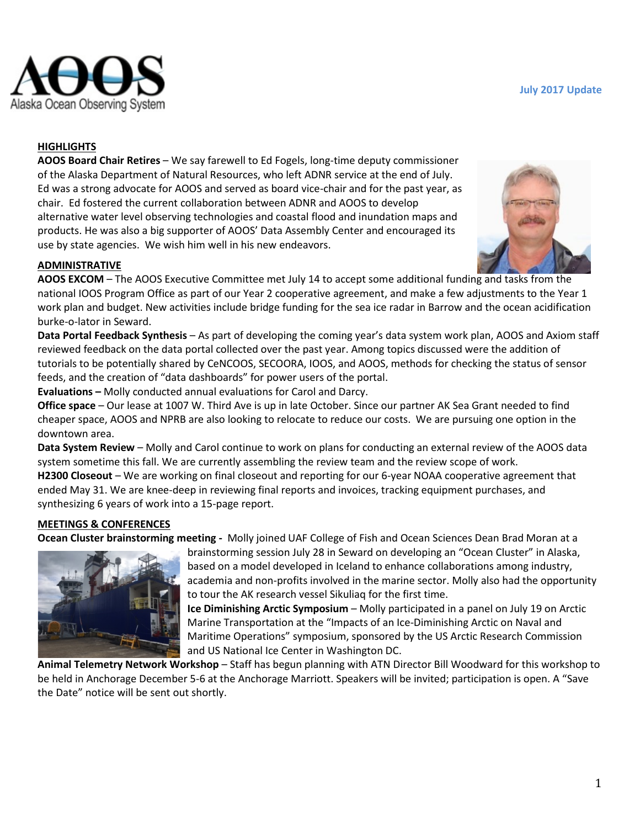

### **HIGHLIGHTS**

**AOOS Board Chair Retires** – We say farewell to Ed Fogels, long-time deputy commissioner of the Alaska Department of Natural Resources, who left ADNR service at the end of July. Ed was a strong advocate for AOOS and served as board vice-chair and for the past year, as chair. Ed fostered the current collaboration between ADNR and AOOS to develop alternative water level observing technologies and coastal flood and inundation maps and products. He was also a big supporter of AOOS' Data Assembly Center and encouraged its use by state agencies. We wish him well in his new endeavors.

# **ADMINISTRATIVE**

**AOOS EXCOM** – The AOOS Executive Committee met July 14 to accept some additional funding and tasks from the national IOOS Program Office as part of our Year 2 cooperative agreement, and make a few adjustments to the Year 1 work plan and budget. New activities include bridge funding for the sea ice radar in Barrow and the ocean acidification burke-o-lator in Seward.

**Data Portal Feedback Synthesis** – As part of developing the coming year's data system work plan, AOOS and Axiom staff reviewed feedback on the data portal collected over the past year. Among topics discussed were the addition of tutorials to be potentially shared by CeNCOOS, SECOORA, IOOS, and AOOS, methods for checking the status of sensor feeds, and the creation of "data dashboards" for power users of the portal.

**Evaluations –** Molly conducted annual evaluations for Carol and Darcy.

**Office space** – Our lease at 1007 W. Third Ave is up in late October. Since our partner AK Sea Grant needed to find cheaper space, AOOS and NPRB are also looking to relocate to reduce our costs. We are pursuing one option in the downtown area.

**Data System Review** – Molly and Carol continue to work on plans for conducting an external review of the AOOS data system sometime this fall. We are currently assembling the review team and the review scope of work. **H2300 Closeout** – We are working on final closeout and reporting for our 6-year NOAA cooperative agreement that ended May 31. We are knee-deep in reviewing final reports and invoices, tracking equipment purchases, and synthesizing 6 years of work into a 15-page report.

### **MEETINGS & CONFERENCES**

**Ocean Cluster brainstorming meeting -** Molly joined UAF College of Fish and Ocean Sciences Dean Brad Moran at a



brainstorming session July 28 in Seward on developing an "Ocean Cluster" in Alaska, based on a model developed in Iceland to enhance collaborations among industry, academia and non-profits involved in the marine sector. Molly also had the opportunity to tour the AK research vessel Sikuliaq for the first time.

**Ice Diminishing Arctic Symposium** – Molly participated in a panel on July 19 on Arctic Marine Transportation at the "Impacts of an Ice-Diminishing Arctic on Naval and Maritime Operations" symposium, sponsored by the US Arctic Research Commission and US National Ice Center in Washington DC.

**Animal Telemetry Network Workshop** – Staff has begun planning with ATN Director Bill Woodward for this workshop to be held in Anchorage December 5-6 at the Anchorage Marriott. Speakers will be invited; participation is open. A "Save the Date" notice will be sent out shortly.

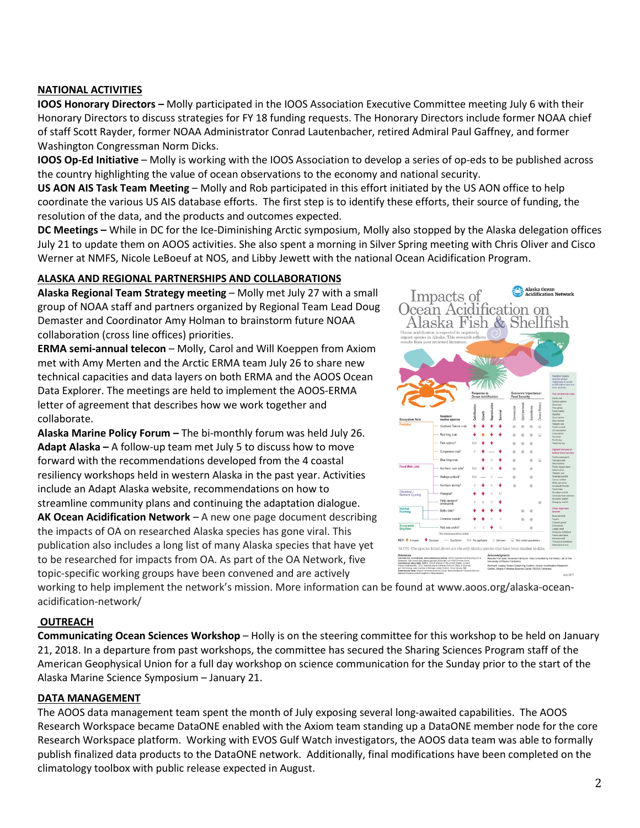# **NATIONAL ACTIVITIES**

**IOOS Honorary Directors –** Molly participated in the IOOS Association Executive Committee meeting July 6 with their Honorary Directors to discuss strategies for FY 18 funding requests. The Honorary Directors include former NOAA chief of staff Scott Rayder, former NOAA Administrator Conrad Lautenbacher, retired Admiral Paul Gaffney, and former Washington Congressman Norm Dicks.

**IOOS Op-Ed Initiative** – Molly is working with the IOOS Association to develop a series of op-eds to be published across the country highlighting the value of ocean observations to the economy and national security.

**US AON AIS Task Team Meeting** – Molly and Rob participated in this effort initiated by the US AON office to help coordinate the various US AIS database efforts. The first step is to identify these efforts, their source of funding, the resolution of the data, and the products and outcomes expected.

**DC Meetings –** While in DC for the Ice-Diminishing Arctic symposium, Molly also stopped by the Alaska delegation offices July 21 to update them on AOOS activities. She also spent a morning in Silver Spring meeting with Chris Oliver and Cisco Werner at NMFS, Nicole LeBoeuf at NOS, and Libby Jewett with the national Ocean Acidification Program.

### **ALASKA AND REGIONAL PARTNERSHIPS AND COLLABORATIONS**

**Alaska Regional Team Strategy meeting** – Molly met July 27 with a small group of NOAA staff and partners organized by Regional Team Lead Doug Demaster and Coordinator Amy Holman to brainstorm future NOAA collaboration (cross line offices) priorities.

**ERMA semi-annual telecon** – Molly, Carol and Will Koeppen from Axiom met with Amy Merten and the Arctic ERMA team July 26 to share new technical capacities and data layers on both ERMA and the AOOS Ocean Data Explorer. The meetings are held to implement the AOOS-ERMA letter of agreement that describes how we work together and collaborate.

**Alaska Marine Policy Forum –** The bi-monthly forum was held July 26. **Adapt Alaska –** A follow-up team met July 5 to discuss how to move forward with the recommendations developed from the 4 coastal resiliency workshops held in western Alaska in the past year. Activities include an Adapt Alaska website, recommendations on how to streamline community plans and continuing the adaptation dialogue. **AK Ocean Acidification Network** – A new one page document describing the impacts of OA on researched Alaska species has gone viral. This publication also includes a long list of many Alaska species that have yet to be researched for impacts from OA. As part of the OA Network, five

topic-specific working groups have been convened and are actively

Impacts of Ocean Acidification on Alaska Fish & Shellfish Food Web Lin **NOTE: TH** 

**Alaska Ocean<br>Acidification Network** 

working to help implement the network's mission. More information can b[e found at www.aoos.org/alaska-ocean](http://www.aoos.org/wp-content/uploads/2017/07/AOAN-Poster-with-Sidebar-11x17.pdf?utm_source=Alaska+OA+Network&utm_campaign=fce1e90cc6-EMAIL_CAMPAIGN_2017_07_25&utm_medium=email&utm_term=0_9a052aa7d8-fce1e90cc6-134949953)acidification-network/

### **OUTREACH**

**Communicating Ocean Sciences Workshop** – Holly is on the steering committee for this workshop to be held on January 21, 2018. In a departure from past workshops, the committee has secured the Sharing Sciences Program staff of the American Geophysical Union for a full day workshop on science communication for the Sunday prior to the start of the Alaska Marine Science Symposium – January 21.

#### **DATA MANAGEMENT**

The AOOS data management team spent the month of July exposing several long-awaited capabilities. The AOOS Research Workspace became DataONE enabled with the Axiom team standing up a DataONE member node for the core Research Workspace platform. Working with EVOS Gulf Watch investigators, the AOOS data team was able to formally publish finalized data products to the DataONE network. Additionally, final modifications have been completed on the climatology toolbox with public release expected in August.